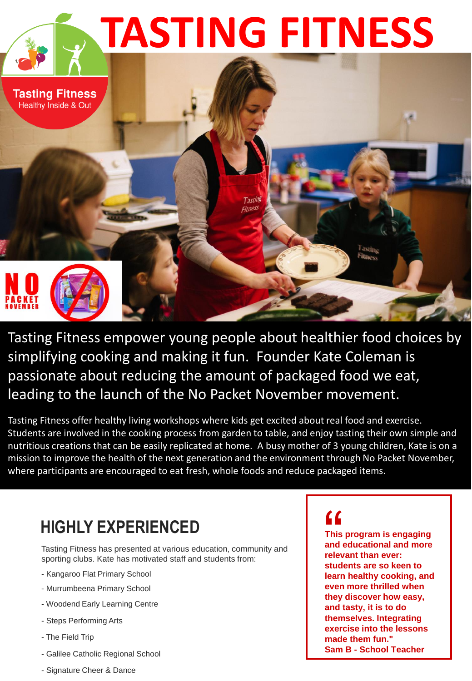

.Tasting Fitness empower young people about healthier food choices by simplifying cooking and making it fun. Founder Kate Coleman is passionate about reducing the amount of packaged food we eat, leading to the launch of the No Packet November movement.

Tasting Fitness offer healthy living workshops where kids get excited about real food and exercise. Students are involved in the cooking process from garden to table, and enjoy tasting their own simple and nutritious creations that can be easily replicated at home. A busy mother of 3 young children, Kate is on a mission to improve the health of the next generation and the environment through No Packet November, where participants are encouraged to eat fresh, whole foods and reduce packaged items.

## **HIGHLY EXPERIENCED**

Tasting Fitness has presented at various education, community and sporting clubs. Kate has motivated staff and students from:

- Kangaroo Flat Primary School
- Murrumbeena Primary School
- Woodend Early Learning Centre
- Steps Performing Arts
- The Field Trip
- Galilee Catholic Regional School
- Signature Cheer & Dance

 $\left| \begin{array}{c} \mathbf{f} \\ \mathbf{f} \\ \mathbf{f} \\ \mathbf{f} \\ \mathbf{f} \end{array} \right|$  and  $\left| \begin{array}{c} \mathbf{f} \\ \mathbf{f} \\ \mathbf{f} \end{array} \right|$ **This program is engaging and educational and more relevant than ever: students are so keen to learn healthy cooking, and even more thrilled when they discover how easy, and tasty, it is to do themselves. Integrating exercise into the lessons made them fun." Sam B - School Teacher**